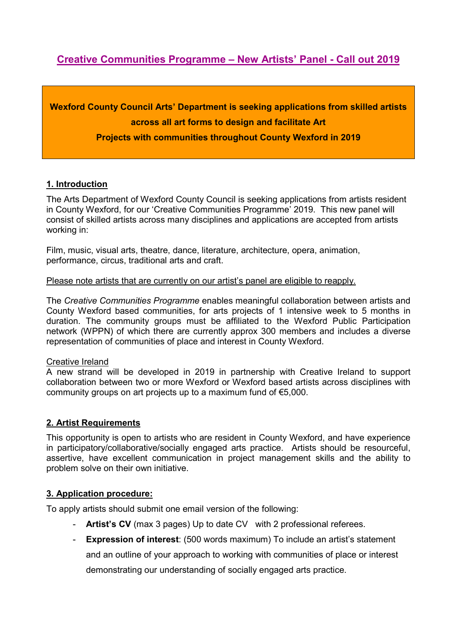# **Creative Communities Programme – New Artists' Panel - Call out 2019**

**Wexford County Council Arts' Department is seeking applications from skilled artists across all art forms to design and facilitate Art** 

**Projects with communities throughout County Wexford in 2019** 

#### **1. Introduction**

The Arts Department of Wexford County Council is seeking applications from artists resident in County Wexford, for our 'Creative Communities Programme' 2019. This new panel will consist of skilled artists across many disciplines and applications are accepted from artists working in:

Film, music, visual arts, theatre, dance, literature, architecture, opera, animation, performance, circus, traditional arts and craft.

#### Please note artists that are currently on our artist's panel are eligible to reapply.

The *Creative Communities Programme* enables meaningful collaboration between artists and County Wexford based communities, for arts projects of 1 intensive week to 5 months in duration. The community groups must be affiliated to the Wexford Public Participation network (WPPN) of which there are currently approx 300 members and includes a diverse representation of communities of place and interest in County Wexford.

#### Creative Ireland

A new strand will be developed in 2019 in partnership with Creative Ireland to support collaboration between two or more Wexford or Wexford based artists across disciplines with community groups on art projects up to a maximum fund of €5,000.

## **2. Artist Requirements**

This opportunity is open to artists who are resident in County Wexford, and have experience in participatory/collaborative/socially engaged arts practice. Artists should be resourceful, assertive, have excellent communication in project management skills and the ability to problem solve on their own initiative.

## **3. Application procedure:**

To apply artists should submit one email version of the following:

- **Artist's CV** (max 3 pages) Up to date CV with 2 professional referees.
- **Expression of interest**: (500 words maximum) To include an artist's statement and an outline of your approach to working with communities of place or interest demonstrating our understanding of socially engaged arts practice.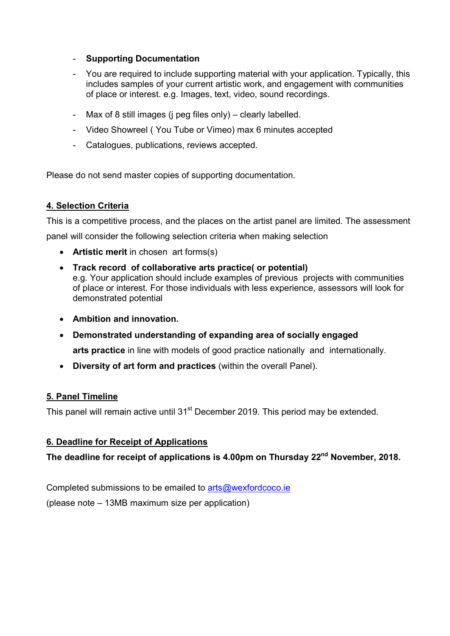## - **Supporting Documentation**

- You are required to include supporting material with your application. Typically, this includes samples of your current artistic work, and engagement with communities of place or interest. e.g. Images, text, video, sound recordings.
- Max of 8 still images (j peg files only) clearly labelled.
- Video Showreel ( You Tube or Vimeo) max 6 minutes accepted
- Catalogues, publications, reviews accepted.

Please do not send master copies of supporting documentation.

# **4. Selection Criteria**

This is a competitive process, and the places on the artist panel are limited. The assessment panel will consider the following selection criteria when making selection

- **Artistic merit** in chosen art forms(s)
- **Track record of collaborative arts practice( or potential)**  e.g. Your application should include examples of previous projects with communities of place or interest. For those individuals with less experience, assessors will look for demonstrated potential
- **Ambition and innovation.**
- **Demonstrated understanding of expanding area of socially engaged arts practice** in line with models of good practice nationally and internationally.
- **Diversity of art form and practices** (within the overall Panel).

# **5. Panel Timeline**

This panel will remain active until 31<sup>st</sup> December 2019. This period may be extended.

# **6. Deadline for Receipt of Applications**

**The deadline for receipt of applications is 4.00pm on Thursday 22nd November, 2018.** 

Completed submissions to be emailed to arts@wexfordcoco.ie (please note – 13MB maximum size per application)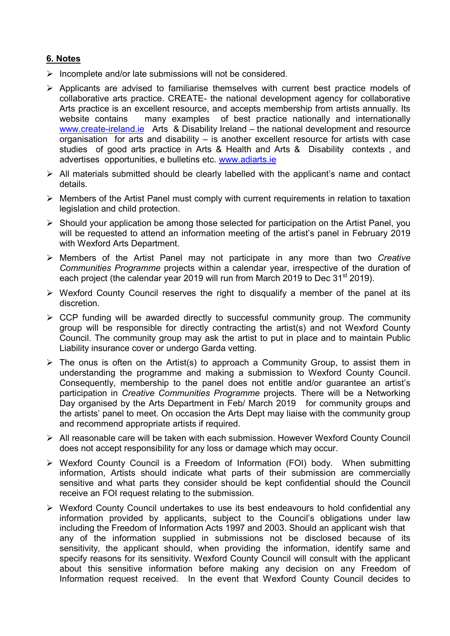# **6. Notes**

- $\triangleright$  Incomplete and/or late submissions will not be considered.
- $\triangleright$  Applicants are advised to familiarise themselves with current best practice models of collaborative arts practice. CREATE- the national development agency for collaborative Arts practice is an excellent resource, and accepts membership from artists annually. Its website contains many examples of best practice nationally and internationally www.create-ireland.ie Arts & Disability Ireland – the national development and resource organisation for arts and disability – is another excellent resource for artists with case studies of good arts practice in Arts & Health and Arts & Disability contexts , and advertises opportunities, e bulletins etc. www.adiarts.ie
- $\triangleright$  All materials submitted should be clearly labelled with the applicant's name and contact details.
- $\triangleright$  Members of the Artist Panel must comply with current requirements in relation to taxation legislation and child protection.
- $\triangleright$  Should your application be among those selected for participation on the Artist Panel, you will be requested to attend an information meeting of the artist's panel in February 2019 with Wexford Arts Department.
- Members of the Artist Panel may not participate in any more than two *Creative Communities Programme* projects within a calendar year, irrespective of the duration of each project (the calendar year 2019 will run from March 2019 to Dec 31<sup>st</sup> 2019).
- $\triangleright$  Wexford County Council reserves the right to disqualify a member of the panel at its discretion.
- $\triangleright$  CCP funding will be awarded directly to successful community group. The community group will be responsible for directly contracting the artist(s) and not Wexford County Council. The community group may ask the artist to put in place and to maintain Public Liability insurance cover or undergo Garda vetting.
- $\triangleright$  The onus is often on the Artist(s) to approach a Community Group, to assist them in understanding the programme and making a submission to Wexford County Council. Consequently, membership to the panel does not entitle and/or guarantee an artist's participation in *Creative Communities Programme* projects. There will be a Networking Day organised by the Arts Department in Feb/ March 2019 for community groups and the artists' panel to meet. On occasion the Arts Dept may liaise with the community group and recommend appropriate artists if required.
- All reasonable care will be taken with each submission. However Wexford County Council does not accept responsibility for any loss or damage which may occur.
- Wexford County Council is a Freedom of Information (FOI) body. When submitting information, Artists should indicate what parts of their submission are commercially sensitive and what parts they consider should be kept confidential should the Council receive an FOI request relating to the submission.
- $\triangleright$  Wexford County Council undertakes to use its best endeavours to hold confidential any information provided by applicants, subject to the Council's obligations under law including the Freedom of Information Acts 1997 and 2003. Should an applicant wish that any of the information supplied in submissions not be disclosed because of its sensitivity, the applicant should, when providing the information, identify same and specify reasons for its sensitivity. Wexford County Council will consult with the applicant about this sensitive information before making any decision on any Freedom of Information request received. In the event that Wexford County Council decides to